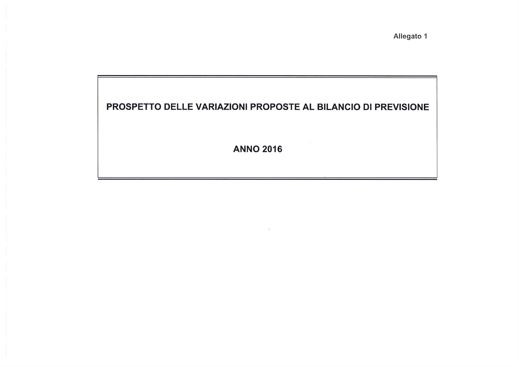Allegato 1

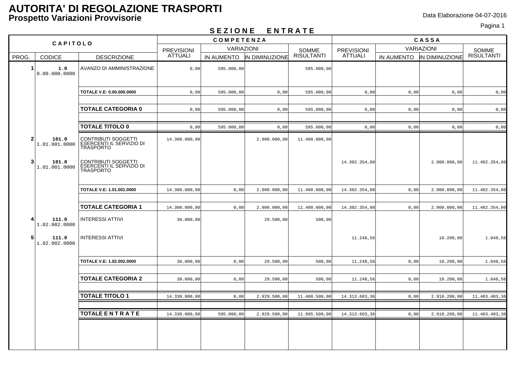# Pagina 1 **S E Z I O N E E N T R A T E**

| --------<br>- 11   11 A   L              |                                                                            |                   |                   |                            |                   |                   |      |                           |                     |  |
|------------------------------------------|----------------------------------------------------------------------------|-------------------|-------------------|----------------------------|-------------------|-------------------|------|---------------------------|---------------------|--|
|                                          | CAPITOLO                                                                   | <b>COMPETENZA</b> |                   |                            |                   | CASSA             |      |                           |                     |  |
|                                          |                                                                            | <b>PREVISIONI</b> | <b>VARIAZIONI</b> |                            | SOMME             | <b>PREVISIONI</b> |      | <b>VARIAZIONI</b>         |                     |  |
| PROG.<br><b>CODICE</b>                   | <b>DESCRIZIONE</b>                                                         | <b>ATTUALI</b>    |                   | IN AUMENTO  IN DIMINUZIONE | <b>RISULTANTI</b> | ATTUALI           |      | IN AUMENTO IN DIMINUZIONE | SOMME<br>RISULTANTI |  |
| $\mathbf{1}$<br>1.0<br>0.00.000.0000     | AVANZO DI AMMINISTRAZIONE                                                  | 0,00              | 595.000,00        |                            | 595.000,00        |                   |      |                           |                     |  |
|                                          | TOTALE V.E: 0.00.000.0000                                                  | 0.00              | 595.000,00        | 0,00                       | 595.000,00        | 0,00              | 0,00 | 0,00                      | 0,00                |  |
|                                          | <b>TOTALE CATEGORIA 0</b>                                                  | 0,00              | 595.000,00        | 0,00                       | 595.000,00        | 0,00              | 0,00 | 0,00                      | 0,00                |  |
|                                          | <b>TOTALE TITOLO 0</b>                                                     | 0,00              | 595.000,00        | 0,00                       | 595.000,00        | 0,00              | 0,00 | 0,00                      | 0,00                |  |
| $\overline{a}$<br>101.0<br>1.01.001.0000 | <b>CONTRIBUTI SOGGETTI</b><br>ESERCENTI IL SERVIZIO DI<br>TRASPORTO        | 14.300.000,00     |                   | 2.900.000,00               | 11.400.000,00     |                   |      |                           |                     |  |
| 3<br>101.0<br>1.01.001.0000              | <b>CONTRIBUTI SOGGETTI</b><br><b>ÉSERCENTI IL SERVIZIO DI</b><br>TRASPORTO |                   |                   |                            |                   | 14.302.354,80     |      | 2.900.000,00              | 11.402.354,80       |  |
|                                          | TOTALE V.E: 1.01.001.0000                                                  | 14.300.000,00     | 0,00              | 2.900.000,00               | 11.400.000,00     | 14.302.354,80     | 0,00 | 2.900.000,00              | 11.402.354,80       |  |
|                                          |                                                                            |                   |                   |                            |                   |                   |      |                           |                     |  |
|                                          | <b>TOTALE CATEGORIA 1</b>                                                  | 14.300.000,00     | 0,00              | 2.900.000,00               | 11.400.000,00     | 14.302.354,80     | 0,00 | 2.900.000,00              | 11.402.354,80       |  |
| 4<br>111.0<br>1.02.002.0000              | <b>INTERESSI ATTIVI</b>                                                    | 30.000,00         |                   | 29.500,00                  | 500,00            |                   |      |                           |                     |  |
| 5<br>111.0<br>1.02.002.0000              | <b>INTERESSI ATTIVI</b>                                                    |                   |                   |                            |                   | 11.248,56         |      | 10.200,00                 | 1.048,56            |  |
|                                          | TOTALE V.E: 1.02.002.0000                                                  | 30.000,00         | 0,00              | 29.500,00                  | 500,00            | 11.248,56         | 0,00 | 10.200,00                 | 1.048,56            |  |
|                                          | <b>TOTALE CATEGORIA 2</b>                                                  | 30.000,00         | 0,00              | 29.500,00                  | 500,00            | 11.248,56         | 0,00 | 10.200,00                 | 1.048,56            |  |
|                                          | <b>TOTALE TITOLO 1</b>                                                     | 14.330.000,00     | 0,00              | 2.929.500,00               | 11.400.500,00     | 14.313.603,36     | 0,00 | 2.910.200,00              | 11.403.403,36       |  |
|                                          |                                                                            |                   |                   |                            |                   |                   |      |                           |                     |  |
|                                          | <b>TOTALE ENTRATE</b>                                                      | 14.330.000,00     | 595.000,00        | 2.929.500,00               | 11.995.500,00     | 14.313.603,36     | 0,00 | 2.910.200,00              | 11.403.403,36       |  |
|                                          |                                                                            |                   |                   |                            |                   |                   |      |                           |                     |  |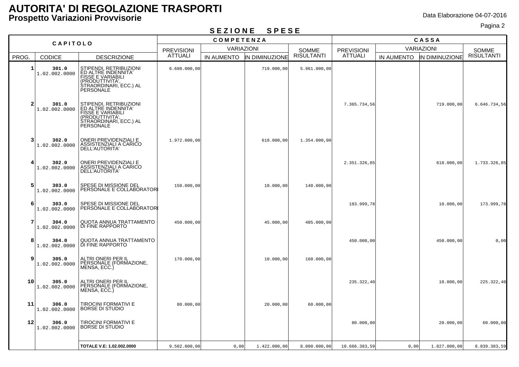# Pagina 2 **S E Z I O N E S P E S E**

| CAPITOLO                |                        | <b>COMPETENZA</b>                                                                                                                   |                   |                   |                | CASSA             |                   |                   |                |                   |
|-------------------------|------------------------|-------------------------------------------------------------------------------------------------------------------------------------|-------------------|-------------------|----------------|-------------------|-------------------|-------------------|----------------|-------------------|
|                         |                        |                                                                                                                                     | <b>PREVISIONI</b> | <b>VARIAZIONI</b> |                | <b>SOMME</b>      | <b>PREVISIONI</b> | <b>VARIAZIONI</b> |                | <b>SOMME</b>      |
| PROG.                   | CODICE                 | <b>DESCRIZIONE</b>                                                                                                                  | ATTUALI           | IN AUMENTO        | IN DIMINUZIONE | <b>RISULTANTI</b> | <b>ATTUALI</b>    | IN AUMENTO        | IN DIMINUZIONE | <b>RISULTANTI</b> |
| $\mathbf{1}$            | 301.0<br>1.02.002.0000 | STIPENDI, RETRIBUZIONI<br>ED ALTRE INDENNITA'<br><b>FISSE E VARIABILI</b><br>(PRODUTTIVITA'.<br>STRAORDINARI, ECC.) AL<br>PERSONALE | 6.680.000,00      |                   | 719.000,00     | 5.961.000,00      |                   |                   |                |                   |
| $\overline{2}$          | 301.0<br>1.02.002.0000 | STIPENDI, RETRIBUZIONI<br>ED ALTRE INDENNITA'<br><b>FISSE E VARIABILI</b><br>(PRODUTTIVITA'<br>STRAORDINARI, ECC.) AL<br>PERSONALE  |                   |                   |                |                   | 7.365.734,56      |                   | 719.000,00     | 6.646.734,56      |
| $\overline{\mathbf{3}}$ | 302.0<br>1.02.002.0000 | ONERI PREVIDENZIALI E<br>ASSISTENZIALI A CARICO<br>DELL'AUTORITA'                                                                   | 1.972.000,00      |                   | 618.000,00     | 1.354.000,00      |                   |                   |                |                   |
| $\overline{4}$          | 302.0<br>1.02.002.0000 | ONERI PREVIDENZIALI E<br>ASSISTENZIALI A CARICO<br>DELL'AUTORITA'                                                                   |                   |                   |                |                   | 2.351.326,85      |                   | 618.000,00     | 1.733.326,85      |
| 5 <sup>1</sup>          | 303.0<br>1.02.002.0000 | SPESE DI MISSIONE DEL<br>PERSONALE E COLLABORATORI                                                                                  | 150.000,00        |                   | 10.000,00      | 140.000,00        |                   |                   |                |                   |
| 6                       | 303.0<br>1.02.002.0000 | SPESE DI MISSIONE DEL<br>PERSONALE E COLLABORATOR                                                                                   |                   |                   |                |                   | 183.999,78        |                   | 10.000,00      | 173.999,78        |
| 7                       | 304.0<br>1.02.002.0000 | QUOTA ANNUA TRATTAMENTO<br>DI FINE RAPPORTO                                                                                         | 450.000,00        |                   | 45.000,00      | 405.000,00        |                   |                   |                |                   |
| 8                       | 304.0<br>1.02.002.0000 | QUOTA ANNUA TRATTAMENTO<br>DI FINE RAPPORTO                                                                                         |                   |                   |                |                   | 450.000,00        |                   | 450.000,00     | 0,00              |
| 9                       | 305.0<br>1.02.002.0000 | ALTRI ONERI PER IL<br>PERSONALE (FORMAZIONE,<br>MENSA, ECC.)                                                                        | 170.000,00        |                   | 10.000,00      | 160.000,00        |                   |                   |                |                   |
| 10                      | 305.0<br>1.02.002.0000 | ALTRI ONERI PER IL<br>PERSONALE (FORMAZIONE,<br>MENSA, ECC.)                                                                        |                   |                   |                |                   | 235.322,40        |                   | 10.000,00      | 225.322,40        |
| 11                      | 306.0<br>1.02.002.0000 | TIROCINI FORMATIVI E<br><b>BORSE DI STUDIO</b>                                                                                      | 80,000,00         |                   | 20.000,00      | 60.000,00         |                   |                   |                |                   |
| 12                      | 306.0<br>1.02.002.0000 | TIROCINI FORMATIVI E<br>BORSE DI STUDIO                                                                                             |                   |                   |                |                   | 80.000,00         |                   | 20.000,00      | 60.000,00         |
|                         |                        | TOTALE V.E: 1.02.002.0000                                                                                                           | 9.502.000,00      | 0,00              | 1.422.000,00   | 8.080.000,00      | 10.666.383,59     | 0,00              | 1.827.000,00   | 8.839.383,59      |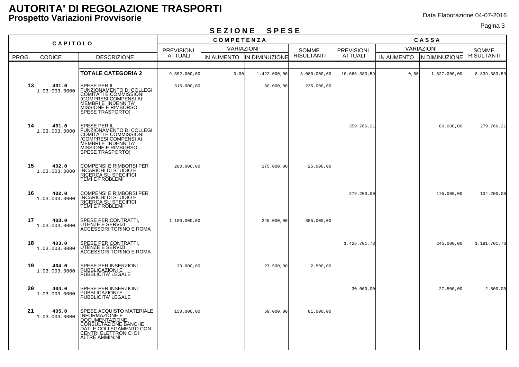## Pagina 3 **S E Z I O N E S P E S E**

| CAPITOLO        |                        | <b>COMPETENZA</b>                                                                                                                                                               |                   |                   |                | CASSA                             |                |                   |                |              |  |
|-----------------|------------------------|---------------------------------------------------------------------------------------------------------------------------------------------------------------------------------|-------------------|-------------------|----------------|-----------------------------------|----------------|-------------------|----------------|--------------|--|
|                 |                        |                                                                                                                                                                                 | <b>PREVISIONI</b> | <b>VARIAZIONI</b> |                | <b>SOMME</b><br><b>PREVISIONI</b> |                | <b>VARIAZIONI</b> |                | <b>SOMME</b> |  |
| PROG.           | <b>CODICE</b>          | <b>DESCRIZIONE</b>                                                                                                                                                              | <b>ATTUALI</b>    | IN AUMENTO        | IN DIMINUZIONE | <b>RISULTANTI</b>                 | <b>ATTUALI</b> | IN AUMENTO        | IN DIMINUZIONE | RISULTANTI   |  |
|                 |                        |                                                                                                                                                                                 |                   |                   |                |                                   |                |                   |                |              |  |
|                 |                        | <b>TOTALE CATEGORIA 2</b>                                                                                                                                                       | 9.502.000,00      | 0,00              | 1.422.000,00   | 8.080.000,00                      | 10.666.383,59  | 0,00              | 1.827.000,00   | 8.839.383,59 |  |
| 13              | 401.0<br>1.03.003.0000 | SPESE PER IL<br>FUNZIONAMENTO DI COLLEGI<br><b>COMITATI E COMMISSIONI</b><br>(COMPRESI COMPENSI AI<br>MEMBRI E INDENNITA'<br>MISSIONE E RIMBORSO<br>SPESE TRASPORTO)            | 315.000,00        |                   | 80.000,00      | 235.000,00                        |                |                   |                |              |  |
| 14              | 401.0<br>1.03.003.0000 | SPESE PER IL<br>FUNZIONAMENTO DI COLLEGI<br><b>COMITATI E COMMISSIONI</b><br>(COMPRESI COMPENSI AI<br>MEMBRI E INDENNITA'<br>MISSIONE E RIMBORSO<br>SPESE TRASPORTO)            |                   |                   |                |                                   | 359.766,21     |                   | 80.000,00      | 279.766,21   |  |
| 15              | 402.0<br>1.03.003.0000 | <b>COMPENSI E RIMBORSI PER</b><br>INCARICHI DI STUDIO E<br>RICERCA SU SPECIFICI<br>TEMI E PROBLEMI                                                                              | 200.000,00        |                   | 175.000,00     | 25.000,00                         |                |                   |                |              |  |
| 16              | 402.0<br>1.03.003.0000 | <b>COMPENSI E RIMBORSI PER</b><br><b>INCARICHI DI STUDIO E</b><br>RICERCA SU SPECIFICI<br>TEMI E PROBLEMI                                                                       |                   |                   |                |                                   | 279.200,00     |                   | 175.000,00     | 104.200,00   |  |
| 17              | 403.0<br>1.03.003.0000 | SPESE PER CONTRATTI,<br>UTENZE E SERVIZI<br>ACCESSORI TORINO E ROMA                                                                                                             | 1.100.000,00      |                   | 245.000,00     | 855.000,00                        |                |                   |                |              |  |
| 18              | 403.0<br>1.03.003.0000 | SPESE PER CONTRATTI,<br>UTENZE E SERVIZI<br>ACCESSORI TORINO E ROMA                                                                                                             |                   |                   |                |                                   | 1.426.701,73   |                   | 245.000,00     | 1.181.701,73 |  |
| 19              | 404.0<br>1.03.003.0000 | SPESE PER INSERZIONI<br>PUBBLICAZIONI E<br>PUBBLICITA' LEGALE                                                                                                                   | 30.000,00         |                   | 27.500,00      | 2.500,00                          |                |                   |                |              |  |
| 20 <sub>1</sub> | 404.0<br>1.03.003.0000 | SPESE PER INSERZIONI<br>PUBBLICAZIONI E<br>PUBBLICITA' LEGALE                                                                                                                   |                   |                   |                |                                   | 30.000,00      |                   | 27.500,00      | 2.500,00     |  |
| 21              | 405.0<br>1.03.003.0000 | SPESE ACQUISTO MATERIALE<br><b>INFORMAZIONE E</b><br><b>DOCUMENTAZIONE</b><br>CONSULTAZIONE BANCHE<br>DATI E COLLEGAMENTO CON<br>CENTRI ELETTRONICI DI<br><b>ALTRE AMMIN.NI</b> | 150.000,00        |                   | 69.000,00      | 81.000,00                         |                |                   |                |              |  |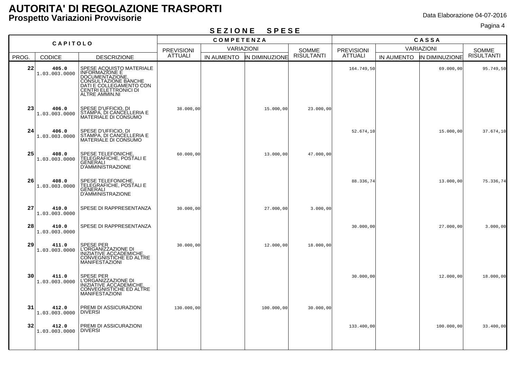### Pagina 4 **S E Z I O N E S P E S E**

| CAPITOLO |                        |                                                                                                                                                                    |                   | <b>COMPETENZA</b> |                |                   | CASSA             |            |                       |                   |
|----------|------------------------|--------------------------------------------------------------------------------------------------------------------------------------------------------------------|-------------------|-------------------|----------------|-------------------|-------------------|------------|-----------------------|-------------------|
|          |                        |                                                                                                                                                                    | <b>PREVISIONI</b> | VARIAZIONI        |                | <b>SOMME</b>      | <b>PREVISIONI</b> |            | VARIAZIONI            | <b>SOMME</b>      |
| PROG.    | <b>CODICE</b>          | <b>DESCRIZIONE</b>                                                                                                                                                 | <b>ATTUALI</b>    | IN AUMENTO        | IN DIMINUZIONE | <b>RISULTANTI</b> | <b>ATTUALI</b>    | IN AUMENTO | <b>IN DIMINUZIONE</b> | <b>RISULTANTI</b> |
| 22       | 405.0<br>1.03.003.0000 | SPESE ACQUISTO MATERIALE<br>INFORMAZIONE E<br>DOCUMENTAZIONE,<br>CONSULTAZIONE BANCHE<br>DATI E COLLEGAMENTO CON<br>CENTRI ELETTRONICI DI<br><b>ALTRE AMMIN.NI</b> |                   |                   |                |                   | 164.749,50        |            | 69.000,00             | 95.749,50         |
| 23       | 406.0<br>1.03.003.0000 | SPESE D'UFFICIO, DI<br>STAMPA, DI CANCELLERIA E<br>MATERIALE DI CONSUMO                                                                                            | 38.000,00         |                   | 15.000,00      | 23.000,00         |                   |            |                       |                   |
| 24       | 406.0<br>1.03.003.0000 | SPESE D'UFFICIO, DI<br>STAMPA, DI CANCELLERIA E<br>MATERIALE DI CONSUMO                                                                                            |                   |                   |                |                   | 52.674,10         |            | 15.000,00             | 37.674,10         |
| 25       | 408.0<br>1.03.003.0000 | SPESE TELEFONICHE,<br>TELEGRAFICHE, POSTALI E<br>GENERALI<br><b>D'AMMINISTRAZIONE</b>                                                                              | 60.000,00         |                   | 13.000,00      | 47.000,00         |                   |            |                       |                   |
| 26       | 408.0<br>1.03.003.0000 | SPESE TELEFONICHE.<br>TELEGRAFICHE, POSTALI E<br>GENERALI<br>D'AMMINISTRAZIONE                                                                                     |                   |                   |                |                   | 88.336,74         |            | 13.000,00             | 75.336,74         |
| 27       | 410.0<br>1.03.003.0000 | SPESE DI RAPPRESENTANZA                                                                                                                                            | 30.000,00         |                   | 27.000,00      | 3.000,00          |                   |            |                       |                   |
| 28       | 410.0<br>1.03.003.0000 | SPESE DI RAPPRESENTANZA                                                                                                                                            |                   |                   |                |                   | 30.000,00         |            | 27.000,00             | 3.000,00          |
| 29       | 411.0<br>1.03.003.0000 | <b>SPESE PER</b><br>L'ORGANIZZAZIONE DI<br>INIZIATIVE ACCADEMICHE,<br>CONVEGNISTICHE ED ALTRE<br><b>MANIFESTAZIONI</b>                                             | 30.000,00         |                   | 12.000,00      | 18.000,00         |                   |            |                       |                   |
| 30       | 411.0<br>1.03.003.0000 | SPESE PER<br>L'ORGANIZZAZIONE DI<br>INIZIATIVE ACCADEMICHE,<br>CONVEGNISTICHE ED ALTRE<br><b>MANIFESTAZIONI</b>                                                    |                   |                   |                |                   | 30.000,00         |            | 12.000,00             | 18.000,00         |
| 31       | 412.0<br>1.03.003.0000 | PREMI DI ASSICURAZIONI<br><b>DIVERSI</b>                                                                                                                           | 130.000,00        |                   | 100.000,00     | 30.000,00         |                   |            |                       |                   |
| 32       | 412.0<br>1.03.003.0000 | PREMI DI ASSICURAZIONI<br><b>DIVERSI</b>                                                                                                                           |                   |                   |                |                   | 133.400,00        |            | 100.000,00            | 33.400,00         |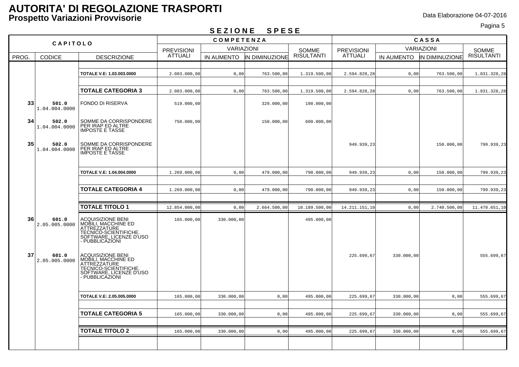### Pagina 5 **S E Z I O N E S P E S E**

| --------<br>- - - - - |                                                  |                                                                                                                                                                                                                                                  |                   |            |                       |                   |                   |            |                |                   |
|-----------------------|--------------------------------------------------|--------------------------------------------------------------------------------------------------------------------------------------------------------------------------------------------------------------------------------------------------|-------------------|------------|-----------------------|-------------------|-------------------|------------|----------------|-------------------|
| <b>CAPITOLO</b>       |                                                  | <b>COMPETENZA</b>                                                                                                                                                                                                                                |                   |            |                       | CASSA             |                   |            |                |                   |
|                       |                                                  | <b>PREVISIONI</b>                                                                                                                                                                                                                                | <b>VARIAZIONI</b> |            | SOMME                 | <b>PREVISIONI</b> | <b>VARIAZIONI</b> |            | SOMME          |                   |
| PROG.                 | <b>CODICE</b>                                    | <b>DESCRIZIONE</b>                                                                                                                                                                                                                               | <b>ATTUALI</b>    | IN AUMENTO | <b>IN DIMINUZIONE</b> | <b>RISULTANTI</b> | <b>ATTUALI</b>    | IN AUMENTO | IN DIMINUZIONE | <b>RISULTANTI</b> |
|                       |                                                  |                                                                                                                                                                                                                                                  |                   |            |                       |                   |                   |            |                |                   |
|                       |                                                  | TOTALE V.E: 1.03.003.0000                                                                                                                                                                                                                        | 2.083.000,00      | 0,00       | 763.500,00            | 1.319.500,00      | 2.594.828,28      | 0,00       | 763.500,00     | 1.831.328,28      |
|                       |                                                  |                                                                                                                                                                                                                                                  |                   |            |                       |                   |                   |            |                |                   |
|                       |                                                  | <b>TOTALE CATEGORIA 3</b>                                                                                                                                                                                                                        | 2.083.000,00      | 0,00       | 763.500,00            | 1.319.500,00      | 2.594.828,28      | 0,00       | 763.500,00     | 1.831.328,28      |
| 33                    | 501.0<br>1.04.004.0000                           | <b>FONDO DI RISERVA</b>                                                                                                                                                                                                                          | 519.000,00        |            | 329.000,00            | 190.000,00        |                   |            |                |                   |
| 34                    | 502.0<br>1.04.004.0000                           | SOMME DA CORRISPONDERE<br>PER IRAP ED ALTRE<br><b>IMPOSTE E TASSE</b>                                                                                                                                                                            | 750.000,00        |            | 150.000,00            | 600.000,00        |                   |            |                |                   |
| 35                    | 502.0<br>1.04.004.0000                           | SOMME DA CORRISPONDERE<br>PER IRAP ED ALTRE<br><b>IMPOSTE E TASSE</b>                                                                                                                                                                            |                   |            |                       |                   | 949.939,23        |            | 150.000,00     | 799.939,23        |
|                       |                                                  | TOTALE V.E: 1.04.004.0000                                                                                                                                                                                                                        | 1.269.000,00      | 0,00       | 479.000,00            | 790.000,00        | 949.939,23        | 0,00       | 150.000,00     | 799.939,23        |
|                       |                                                  | <b>TOTALE CATEGORIA 4</b>                                                                                                                                                                                                                        | 1.269.000,00      | 0,00       | 479.000,00            | 790.000,00        | 949.939,23        | 0,00       | 150.000,00     | 799.939,23        |
|                       |                                                  | <b>TOTALE TITOLO 1</b>                                                                                                                                                                                                                           | 12.854.000,00     | 0,00       | 2.664.500,00          | 10.189.500,00     | 14.211.151,10     | 0,00       | 2.740.500,00   | 11.470.651,10     |
| 36<br>37              | 601.0<br>2.05.005.0000<br>601.0<br>2.05.005.0000 | ACQUISIZIONE BENI<br>MOBILI, MACCHINE ED<br>TECNICO-SCIENTIFICHE.<br>SOFTWARE, LICENZE D'USO<br>- PUBBLICAŻIONI<br><b>ACQUISIZIONE BENI</b><br><b>NOBILI, MACCHINE ED<br/>ATTREZZATURE<br/>TECNICO-SCIENTIFICHE.<br/>SOFTWARE, LICENZE D'USO</b> | 165.000,00        | 330.000,00 |                       | 495.000,00        | 225.699,67        | 330.000,00 |                | 555.699,67        |
|                       |                                                  | - PUBBLICAŻIONI<br>TOTALE V.E: 2.05.005.0000                                                                                                                                                                                                     | 165.000,00        | 330.000,00 | 0,00                  | 495.000,00        | 225.699,67        | 330.000,00 | 0,00           | 555.699,67        |
|                       |                                                  | <b>TOTALE CATEGORIA 5</b>                                                                                                                                                                                                                        | 165.000,00        | 330.000,00 | 0,00                  | 495.000,00        | 225.699,67        | 330.000,00 | 0,00           | 555.699,67        |
|                       |                                                  | <b>TOTALE TITOLO 2</b>                                                                                                                                                                                                                           | 165.000,00        | 330.000,00 | 0,00                  | 495.000,00        | 225.699,67        | 330.000,00 | 0,00           | 555.699,67        |
|                       |                                                  |                                                                                                                                                                                                                                                  |                   |            |                       |                   |                   |            |                |                   |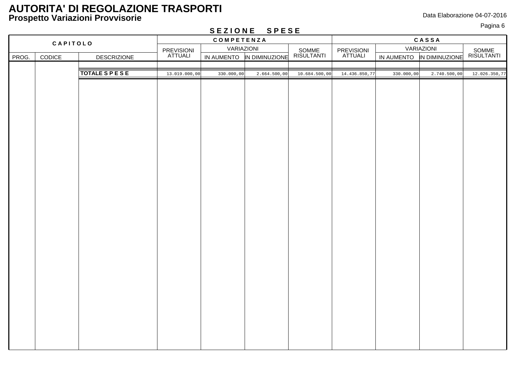Pagina 6 **S E Z I O N E S P E S E**

|          | $V = 1 V 1 V 1 V$<br>$\cup$ $\cup$ $\cup$ $\cup$ |                         |                       |            |                |                     |                       |            |                           |                     |
|----------|--------------------------------------------------|-------------------------|-----------------------|------------|----------------|---------------------|-----------------------|------------|---------------------------|---------------------|
| CAPITOLO |                                                  |                         | COMPETENZA            |            |                |                     | CASSA                 |            |                           |                     |
|          |                                                  |                         |                       | VARIAZIONI |                | VARIAZIONI          |                       |            |                           |                     |
| PROG.    | CODICE                                           | <b>DESCRIZIONE</b>      | PREVISIONI<br>ATTUALI | IN AUMENTO | IN DIMINUZIONE | SOMME<br>RISULTANTI | PREVISIONI<br>ATTUALI |            | IN AUMENTO IN DIMINUZIONE | SOMME<br>RISULTANTI |
|          |                                                  |                         |                       |            |                |                     |                       |            |                           |                     |
|          |                                                  | <b>TOTALE S P E S E</b> | 13.019.000,00         | 330.000,00 | 2.664.500,00   | 10.684.500,00       | 14.436.850,77         | 330.000,00 | 2.740.500,00              | 12.026.350,7        |
|          |                                                  |                         |                       |            |                |                     |                       |            |                           |                     |
|          |                                                  |                         |                       |            |                |                     |                       |            |                           |                     |
|          |                                                  |                         |                       |            |                |                     |                       |            |                           |                     |
|          |                                                  |                         |                       |            |                |                     |                       |            |                           |                     |
|          |                                                  |                         |                       |            |                |                     |                       |            |                           |                     |
|          |                                                  |                         |                       |            |                |                     |                       |            |                           |                     |
|          |                                                  |                         |                       |            |                |                     |                       |            |                           |                     |
|          |                                                  |                         |                       |            |                |                     |                       |            |                           |                     |
|          |                                                  |                         |                       |            |                |                     |                       |            |                           |                     |
|          |                                                  |                         |                       |            |                |                     |                       |            |                           |                     |
|          |                                                  |                         |                       |            |                |                     |                       |            |                           |                     |
|          |                                                  |                         |                       |            |                |                     |                       |            |                           |                     |
|          |                                                  |                         |                       |            |                |                     |                       |            |                           |                     |
|          |                                                  |                         |                       |            |                |                     |                       |            |                           |                     |
|          |                                                  |                         |                       |            |                |                     |                       |            |                           |                     |
|          |                                                  |                         |                       |            |                |                     |                       |            |                           |                     |
|          |                                                  |                         |                       |            |                |                     |                       |            |                           |                     |
|          |                                                  |                         |                       |            |                |                     |                       |            |                           |                     |
|          |                                                  |                         |                       |            |                |                     |                       |            |                           |                     |
|          |                                                  |                         |                       |            |                |                     |                       |            |                           |                     |
|          |                                                  |                         |                       |            |                |                     |                       |            |                           |                     |
|          |                                                  |                         |                       |            |                |                     |                       |            |                           |                     |
|          |                                                  |                         |                       |            |                |                     |                       |            |                           |                     |
|          |                                                  |                         |                       |            |                |                     |                       |            |                           |                     |
|          |                                                  |                         |                       |            |                |                     |                       |            |                           |                     |
|          |                                                  |                         |                       |            |                |                     |                       |            |                           |                     |
|          |                                                  |                         |                       |            |                |                     |                       |            |                           |                     |
|          |                                                  |                         |                       |            |                |                     |                       |            |                           |                     |
|          |                                                  |                         |                       |            |                |                     |                       |            |                           |                     |
|          |                                                  |                         |                       |            |                |                     |                       |            |                           |                     |
|          |                                                  |                         |                       |            |                |                     |                       |            |                           |                     |
|          |                                                  |                         |                       |            |                |                     |                       |            |                           |                     |
|          |                                                  |                         |                       |            |                |                     |                       |            |                           |                     |
|          |                                                  |                         |                       |            |                |                     |                       |            |                           |                     |
|          |                                                  |                         |                       |            |                |                     |                       |            |                           |                     |
|          |                                                  |                         |                       |            |                |                     |                       |            |                           |                     |